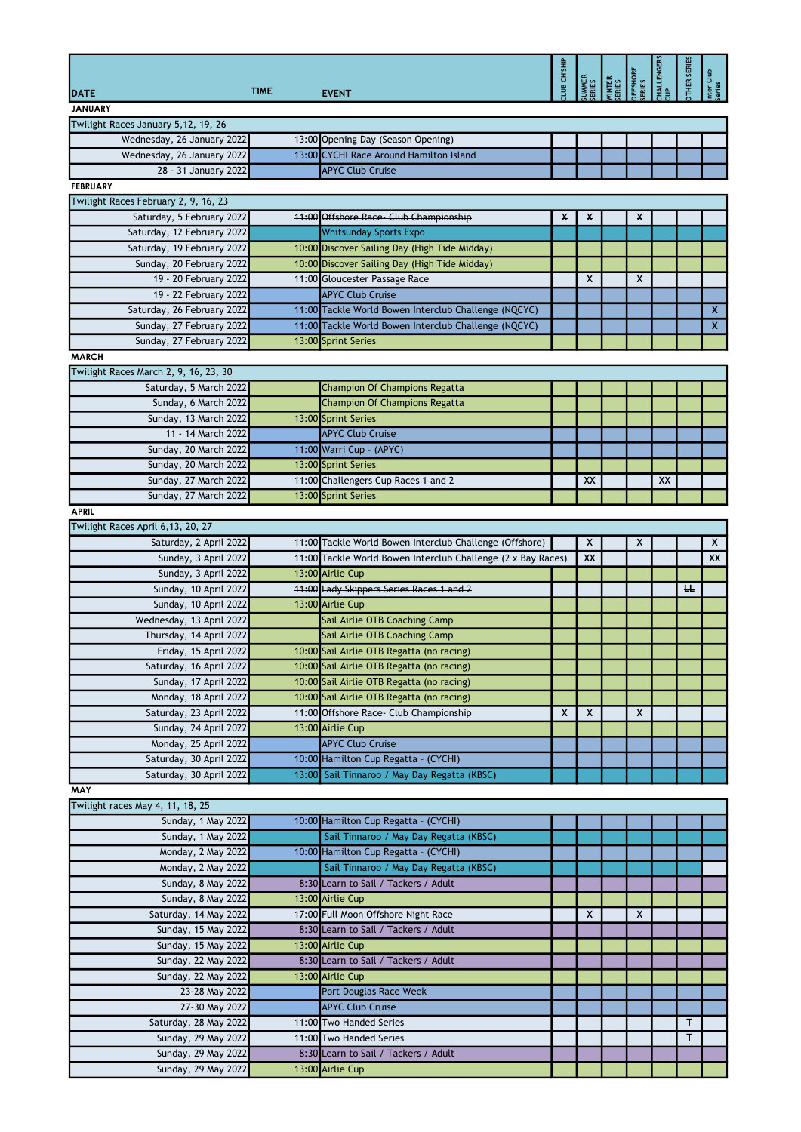|                                       |             |                                                              | <b>INS.HD</b> |    |                                  | FFSHORE<br>ERIES | <b>HALLENGERS</b> | HER SERIES | ar Club<br>ies |
|---------------------------------------|-------------|--------------------------------------------------------------|---------------|----|----------------------------------|------------------|-------------------|------------|----------------|
| DATE                                  | <b>TIME</b> | <b>EVENT</b>                                                 |               |    | UMMER<br>ERIES<br>ERIES<br>ERIES |                  |                   |            |                |
| <b>JANUARY</b>                        |             |                                                              |               |    |                                  |                  |                   |            |                |
| Twilight Races January 5,12, 19, 26   |             |                                                              |               |    |                                  |                  |                   |            |                |
| Wednesday, 26 January 2022            |             | 13:00 Opening Day (Season Opening)                           |               |    |                                  |                  |                   |            |                |
| Wednesday, 26 January 2022            |             | 13:00 CYCHI Race Around Hamilton Island                      |               |    |                                  |                  |                   |            |                |
| 28 - 31 January 2022                  |             | <b>APYC Club Cruise</b>                                      |               |    |                                  |                  |                   |            |                |
| <b>FEBRUARY</b>                       |             |                                                              |               |    |                                  |                  |                   |            |                |
| Twilight Races February 2, 9, 16, 23  |             |                                                              |               |    |                                  |                  |                   |            |                |
| Saturday, 5 February 2022             |             | 11:00 Offshore Race - Club Championship                      | x             | X  |                                  | x                |                   |            |                |
| Saturday, 12 February 2022            |             | <b>Whitsunday Sports Expo</b>                                |               |    |                                  |                  |                   |            |                |
| Saturday, 19 February 2022            |             | 10:00 Discover Sailing Day (High Tide Midday)                |               |    |                                  |                  |                   |            |                |
| Sunday, 20 February 2022              |             | 10:00 Discover Sailing Day (High Tide Midday)                |               |    |                                  |                  |                   |            |                |
| 19 - 20 February 2022                 |             | 11:00 Gloucester Passage Race                                |               | X  |                                  | X                |                   |            |                |
| 19 - 22 February 2022                 |             | <b>APYC Club Cruise</b>                                      |               |    |                                  |                  |                   |            |                |
| Saturday, 26 February 2022            |             | 11:00 Tackle World Bowen Interclub Challenge (NQCYC)         |               |    |                                  |                  |                   |            | X              |
| Sunday, 27 February 2022              |             | 11:00 Tackle World Bowen Interclub Challenge (NQCYC)         |               |    |                                  |                  |                   |            | $\mathsf{X}$   |
| Sunday, 27 February 2022              |             | 13:00 Sprint Series                                          |               |    |                                  |                  |                   |            |                |
| <b>MARCH</b>                          |             |                                                              |               |    |                                  |                  |                   |            |                |
| Twilight Races March 2, 9, 16, 23, 30 |             |                                                              |               |    |                                  |                  |                   |            |                |
| Saturday, 5 March 2022                |             | <b>Champion Of Champions Regatta</b>                         |               |    |                                  |                  |                   |            |                |
| Sunday, 6 March 2022                  |             | Champion Of Champions Regatta                                |               |    |                                  |                  |                   |            |                |
| Sunday, 13 March 2022                 |             | 13:00 Sprint Series                                          |               |    |                                  |                  |                   |            |                |
| 11 - 14 March 2022                    |             | <b>APYC Club Cruise</b>                                      |               |    |                                  |                  |                   |            |                |
| Sunday, 20 March 2022                 |             | 11:00 Warri Cup - (APYC)                                     |               |    |                                  |                  |                   |            |                |
| Sunday, 20 March 2022                 |             | 13:00 Sprint Series                                          |               |    |                                  |                  |                   |            |                |
| Sunday, 27 March 2022                 |             | 11:00 Challengers Cup Races 1 and 2                          |               | XX |                                  |                  | XX                |            |                |
| Sunday, 27 March 2022                 |             | 13:00 Sprint Series                                          |               |    |                                  |                  |                   |            |                |
| <b>APRIL</b>                          |             |                                                              |               |    |                                  |                  |                   |            |                |
| Twilight Races April 6,13, 20, 27     |             |                                                              |               |    |                                  |                  |                   |            |                |
| Saturday, 2 April 2022                |             | 11:00 Tackle World Bowen Interclub Challenge (Offshore)      |               | X  |                                  |                  |                   |            | X              |
| Sunday, 3 April 2022                  |             | 11:00 Tackle World Bowen Interclub Challenge (2 x Bay Races) |               | XX |                                  |                  |                   |            | XX             |
| Sunday, 3 April 2022                  |             | 13:00 Airlie Cup                                             |               |    |                                  |                  |                   |            |                |
| Sunday, 10 April 2022                 |             | 11:00 Lady Skippers Series Races 1 and 2                     |               |    |                                  |                  |                   | ᄔ          |                |
| Sunday, 10 April 2022                 |             | 13:00 Airlie Cup                                             |               |    |                                  |                  |                   |            |                |
| Wednesday, 13 April 2022              |             | Sail Airlie OTB Coaching Camp                                |               |    |                                  |                  |                   |            |                |
| Thursday, 14 April 2022               |             | Sail Airlie OTB Coaching Camp                                |               |    |                                  |                  |                   |            |                |
| Friday, 15 April 2022                 |             | 10:00 Sail Airlie OTB Regatta (no racing)                    |               |    |                                  |                  |                   |            |                |
| Saturday, 16 April 2022               |             | 10:00 Sail Airlie OTB Regatta (no racing)                    |               |    |                                  |                  |                   |            |                |
| Sunday, 17 April 2022                 |             | 10:00 Sail Airlie OTB Regatta (no racing)                    |               |    |                                  |                  |                   |            |                |
| Monday, 18 April 2022                 |             | 10:00 Sail Airlie OTB Regatta (no racing)                    |               |    |                                  |                  |                   |            |                |
| Saturday, 23 April 2022               |             | 11:00 Offshore Race- Club Championship                       | X             | X  |                                  | X                |                   |            |                |
| Sunday, 24 April 2022                 |             | 13:00 Airlie Cup                                             |               |    |                                  |                  |                   |            |                |
| Monday, 25 April 2022                 |             | <b>APYC Club Cruise</b>                                      |               |    |                                  |                  |                   |            |                |
| Saturday, 30 April 2022               |             | 10:00 Hamilton Cup Regatta - (CYCHI)                         |               |    |                                  |                  |                   |            |                |
| Saturday, 30 April 2022               |             | 13:00 Sail Tinnaroo / May Day Regatta (KBSC)                 |               |    |                                  |                  |                   |            |                |
| MAY                                   |             |                                                              |               |    |                                  |                  |                   |            |                |
| Twilight races May 4, 11, 18, 25      |             |                                                              |               |    |                                  |                  |                   |            |                |
| Sunday, 1 May 2022                    |             | 10:00 Hamilton Cup Regatta - (CYCHI)                         |               |    |                                  |                  |                   |            |                |
| Sunday, 1 May 2022                    |             | Sail Tinnaroo / May Day Regatta (KBSC)                       |               |    |                                  |                  |                   |            |                |
| Monday, 2 May 2022                    |             | 10:00 Hamilton Cup Regatta - (CYCHI)                         |               |    |                                  |                  |                   |            |                |
| Monday, 2 May 2022                    |             | Sail Tinnaroo / May Day Regatta (KBSC)                       |               |    |                                  |                  |                   |            |                |
| <b>Sunday, 8 May 2022</b>             |             | 8:30 Learn to Sail / Tackers / Adult                         |               |    |                                  |                  |                   |            |                |
| Sunday, 8 May 2022                    |             | 13:00 Airlie Cup                                             |               |    |                                  |                  |                   |            |                |
| Saturday, 14 May 2022                 |             | 17:00 Full Moon Offshore Night Race                          |               | X  |                                  | X                |                   |            |                |
| Sunday, 15 May 2022                   |             | 8:30 Learn to Sail / Tackers / Adult                         |               |    |                                  |                  |                   |            |                |
| Sunday, 15 May 2022                   |             | 13:00 Airlie Cup                                             |               |    |                                  |                  |                   |            |                |
| Sunday, 22 May 2022                   |             | 8:30 Learn to Sail / Tackers / Adult                         |               |    |                                  |                  |                   |            |                |
| Sunday, 22 May 2022                   |             | 13:00 Airlie Cup                                             |               |    |                                  |                  |                   |            |                |
| 23-28 May 2022                        |             | Port Douglas Race Week                                       |               |    |                                  |                  |                   |            |                |
| 27-30 May 2022                        |             | <b>APYC Club Cruise</b>                                      |               |    |                                  |                  |                   |            |                |
| Saturday, 28 May 2022                 |             | 11:00 Two Handed Series                                      |               |    |                                  |                  |                   | т          |                |
| Sunday, 29 May 2022                   |             | 11:00 Two Handed Series                                      |               |    |                                  |                  |                   | т          |                |
| Sunday, 29 May 2022                   |             | 8:30 Learn to Sail / Tackers / Adult                         |               |    |                                  |                  |                   |            |                |
| Sunday, 29 May 2022                   |             | 13:00 Airlie Cup                                             |               |    |                                  |                  |                   |            |                |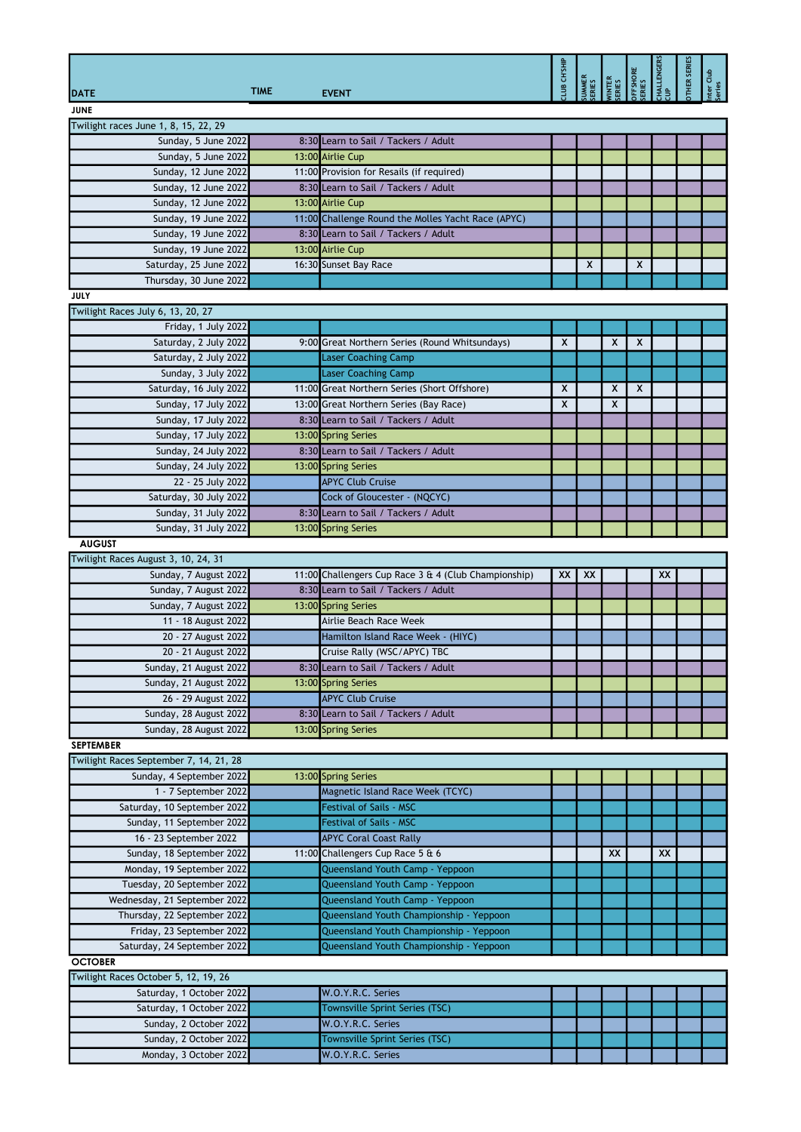|                                        | <b>TIME</b> |                                                      | <b>AIRS.HD SIT</b> | <b>JAMER</b><br>ERIES | INTER<br>RIES | FFSHORE<br>:RIES | <b>ALLENGERS</b> | <b>SERIES</b><br>HER | Club |
|----------------------------------------|-------------|------------------------------------------------------|--------------------|-----------------------|---------------|------------------|------------------|----------------------|------|
| <b>DATE</b>                            |             | <b>EVENT</b>                                         |                    |                       |               |                  |                  |                      |      |
| <b>JUNE</b>                            |             |                                                      |                    |                       |               |                  |                  |                      |      |
| Twilight races June 1, 8, 15, 22, 29   |             |                                                      |                    |                       |               |                  |                  |                      |      |
| Sunday, 5 June 2022                    |             | 8:30 Learn to Sail / Tackers / Adult                 |                    |                       |               |                  |                  |                      |      |
| Sunday, 5 June 2022                    |             | 13:00 Airlie Cup                                     |                    |                       |               |                  |                  |                      |      |
| Sunday, 12 June 2022                   |             | 11:00 Provision for Resails (if required)            |                    |                       |               |                  |                  |                      |      |
| Sunday, 12 June 2022                   |             | 8:30 Learn to Sail / Tackers / Adult                 |                    |                       |               |                  |                  |                      |      |
| Sunday, 12 June 2022                   |             | 13:00 Airlie Cup                                     |                    |                       |               |                  |                  |                      |      |
| Sunday, 19 June 2022                   |             | 11:00 Challenge Round the Molles Yacht Race (APYC)   |                    |                       |               |                  |                  |                      |      |
| Sunday, 19 June 2022                   |             | 8:30 Learn to Sail / Tackers / Adult                 |                    |                       |               |                  |                  |                      |      |
| Sunday, 19 June 2022                   |             | 13:00 Airlie Cup                                     |                    |                       |               |                  |                  |                      |      |
| Saturday, 25 June 2022                 |             | 16:30 Sunset Bay Race                                |                    | X                     |               | X                |                  |                      |      |
| Thursday, 30 June 2022                 |             |                                                      |                    |                       |               |                  |                  |                      |      |
| JULY                                   |             |                                                      |                    |                       |               |                  |                  |                      |      |
| Twilight Races July 6, 13, 20, 27      |             |                                                      |                    |                       |               |                  |                  |                      |      |
| Friday, 1 July 2022                    |             |                                                      |                    |                       |               |                  |                  |                      |      |
| Saturday, 2 July 2022                  |             | 9:00 Great Northern Series (Round Whitsundays)       | X                  |                       | X             | X                |                  |                      |      |
| Saturday, 2 July 2022                  |             | <b>Laser Coaching Camp</b>                           |                    |                       |               |                  |                  |                      |      |
| Sunday, 3 July 2022                    |             | <b>Laser Coaching Camp</b>                           |                    |                       |               |                  |                  |                      |      |
| Saturday, 16 July 2022                 |             | 11:00 Great Northern Series (Short Offshore)         | X                  |                       | X             | X                |                  |                      |      |
| Sunday, 17 July 2022                   |             | 13:00 Great Northern Series (Bay Race)               | X                  |                       | X             |                  |                  |                      |      |
|                                        |             |                                                      |                    |                       |               |                  |                  |                      |      |
| Sunday, 17 July 2022                   |             | 8:30 Learn to Sail / Tackers / Adult                 |                    |                       |               |                  |                  |                      |      |
| Sunday, 17 July 2022                   |             | 13:00 Spring Series                                  |                    |                       |               |                  |                  |                      |      |
| Sunday, 24 July 2022                   |             | 8:30 Learn to Sail / Tackers / Adult                 |                    |                       |               |                  |                  |                      |      |
| Sunday, 24 July 2022                   |             | 13:00 Spring Series                                  |                    |                       |               |                  |                  |                      |      |
| 22 - 25 July 2022                      |             | <b>APYC Club Cruise</b>                              |                    |                       |               |                  |                  |                      |      |
| Saturday, 30 July 2022                 |             | Cock of Gloucester - (NQCYC)                         |                    |                       |               |                  |                  |                      |      |
| Sunday, 31 July 2022                   |             | 8:30 Learn to Sail / Tackers / Adult                 |                    |                       |               |                  |                  |                      |      |
| Sunday, 31 July 2022                   |             | 13:00 Spring Series                                  |                    |                       |               |                  |                  |                      |      |
| <b>AUGUST</b>                          |             |                                                      |                    |                       |               |                  |                  |                      |      |
| Twilight Races August 3, 10, 24, 31    |             |                                                      |                    |                       |               |                  |                  |                      |      |
| Sunday, 7 August 2022                  |             | 11:00 Challengers Cup Race 3 & 4 (Club Championship) | XX                 | XX                    |               |                  | XX               |                      |      |
| Sunday, 7 August 2022                  |             | 8:30 Learn to Sail / Tackers / Adult                 |                    |                       |               |                  |                  |                      |      |
| Sunday, 7 August 2022                  |             | 13:00 Spring Series                                  |                    |                       |               |                  |                  |                      |      |
| 11 - 18 August 2022                    |             | Airlie Beach Race Week                               |                    |                       |               |                  |                  |                      |      |
| 20 - 27 August 2022                    |             | Hamilton Island Race Week - (HIYC)                   |                    |                       |               |                  |                  |                      |      |
| 20 - 21 August 2022                    |             |                                                      |                    |                       |               |                  |                  |                      |      |
|                                        |             | Cruise Rally (WSC/APYC) TBC                          |                    |                       |               |                  |                  |                      |      |
| Sunday, 21 August 2022                 |             | 8:30 Learn to Sail / Tackers / Adult                 |                    |                       |               |                  |                  |                      |      |
| Sunday, 21 August 2022                 |             | 13:00 Spring Series                                  |                    |                       |               |                  |                  |                      |      |
| 26 - 29 August 2022                    |             | <b>APYC Club Cruise</b>                              |                    |                       |               |                  |                  |                      |      |
| Sunday, 28 August 2022                 |             | 8:30 Learn to Sail / Tackers / Adult                 |                    |                       |               |                  |                  |                      |      |
| Sunday, 28 August 2022                 |             | 13:00 Spring Series                                  |                    |                       |               |                  |                  |                      |      |
| <b>SEPTEMBER</b>                       |             |                                                      |                    |                       |               |                  |                  |                      |      |
| Twilight Races September 7, 14, 21, 28 |             |                                                      |                    |                       |               |                  |                  |                      |      |
| Sunday, 4 September 2022               |             | 13:00 Spring Series                                  |                    |                       |               |                  |                  |                      |      |
| 1 - 7 September 2022                   |             | Magnetic Island Race Week (TCYC)                     |                    |                       |               |                  |                  |                      |      |
| Saturday, 10 September 2022            |             | <b>Festival of Sails - MSC</b>                       |                    |                       |               |                  |                  |                      |      |
| Sunday, 11 September 2022              |             | <b>Festival of Sails - MSC</b>                       |                    |                       |               |                  |                  |                      |      |
| 16 - 23 September 2022                 |             | <b>APYC Coral Coast Rally</b>                        |                    |                       |               |                  |                  |                      |      |
| Sunday, 18 September 2022              |             | 11:00 Challengers Cup Race 5 & 6                     |                    |                       | XX            |                  | XX               |                      |      |
|                                        |             |                                                      |                    |                       |               |                  |                  |                      |      |
| Monday, 19 September 2022              |             | Queensland Youth Camp - Yeppoon                      |                    |                       |               |                  |                  |                      |      |
| Tuesday, 20 September 2022             |             | Queensland Youth Camp - Yeppoon                      |                    |                       |               |                  |                  |                      |      |
| Wednesday, 21 September 2022           |             | Queensland Youth Camp - Yeppoon                      |                    |                       |               |                  |                  |                      |      |
| Thursday, 22 September 2022            |             | Queensland Youth Championship - Yeppoon              |                    |                       |               |                  |                  |                      |      |
| Friday, 23 September 2022              |             | Queensland Youth Championship - Yeppoon              |                    |                       |               |                  |                  |                      |      |
| Saturday, 24 September 2022            |             | Queensland Youth Championship - Yeppoon              |                    |                       |               |                  |                  |                      |      |
| <b>OCTOBER</b>                         |             |                                                      |                    |                       |               |                  |                  |                      |      |
| Twilight Races October 5, 12, 19, 26   |             |                                                      |                    |                       |               |                  |                  |                      |      |
| Saturday, 1 October 2022               |             | W.O.Y.R.C. Series                                    |                    |                       |               |                  |                  |                      |      |
| Saturday, 1 October 2022               |             | Townsville Sprint Series (TSC)                       |                    |                       |               |                  |                  |                      |      |
| Sunday, 2 October 2022                 |             | W.O.Y.R.C. Series                                    |                    |                       |               |                  |                  |                      |      |
| Sunday, 2 October 2022                 |             | Townsville Sprint Series (TSC)                       |                    |                       |               |                  |                  |                      |      |
|                                        |             |                                                      |                    |                       |               |                  |                  |                      |      |
| Monday, 3 October 2022                 |             | W.O.Y.R.C. Series                                    |                    |                       |               |                  |                  |                      |      |